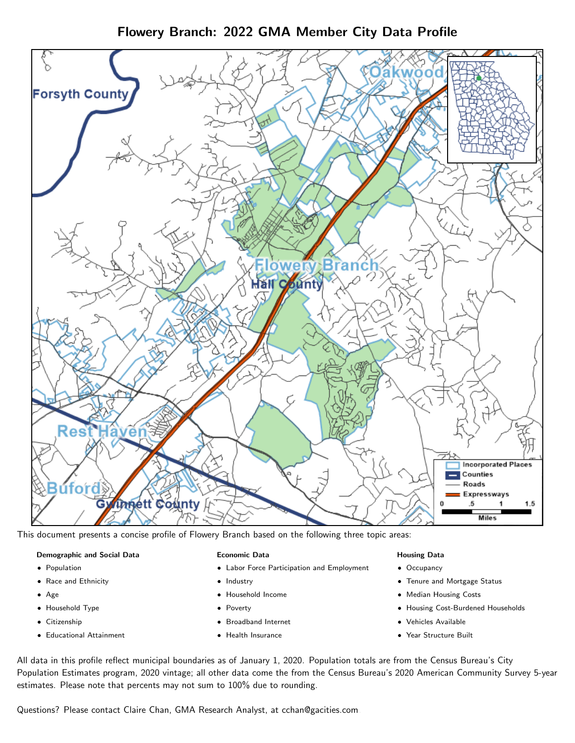Flowery Branch: 2022 GMA Member City Data Profile



This document presents a concise profile of Flowery Branch based on the following three topic areas:

#### Demographic and Social Data

- **•** Population
- Race and Ethnicity
- Age
- Household Type
- **Citizenship**
- Educational Attainment

#### Economic Data

- Labor Force Participation and Employment
- Industry
- Household Income
- Poverty
- Broadband Internet
- Health Insurance

## Housing Data

- Occupancy
- Tenure and Mortgage Status
- Median Housing Costs
- Housing Cost-Burdened Households
- Vehicles Available
- Year Structure Built

All data in this profile reflect municipal boundaries as of January 1, 2020. Population totals are from the Census Bureau's City Population Estimates program, 2020 vintage; all other data come the from the Census Bureau's 2020 American Community Survey 5-year estimates. Please note that percents may not sum to 100% due to rounding.

Questions? Please contact Claire Chan, GMA Research Analyst, at [cchan@gacities.com.](mailto:cchan@gacities.com)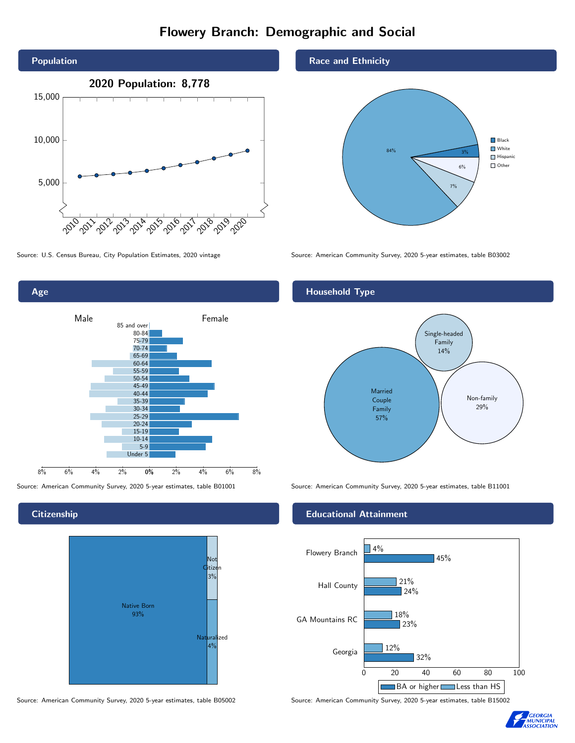# Flowery Branch: Demographic and Social





**Citizenship** 



Source: American Community Survey, 2020 5-year estimates, table B05002 Source: American Community Survey, 2020 5-year estimates, table B15002

## Race and Ethnicity



Source: U.S. Census Bureau, City Population Estimates, 2020 vintage Source: American Community Survey, 2020 5-year estimates, table B03002

# Household Type



Source: American Community Survey, 2020 5-year estimates, table B01001 Source: American Community Survey, 2020 5-year estimates, table B11001

## Educational Attainment



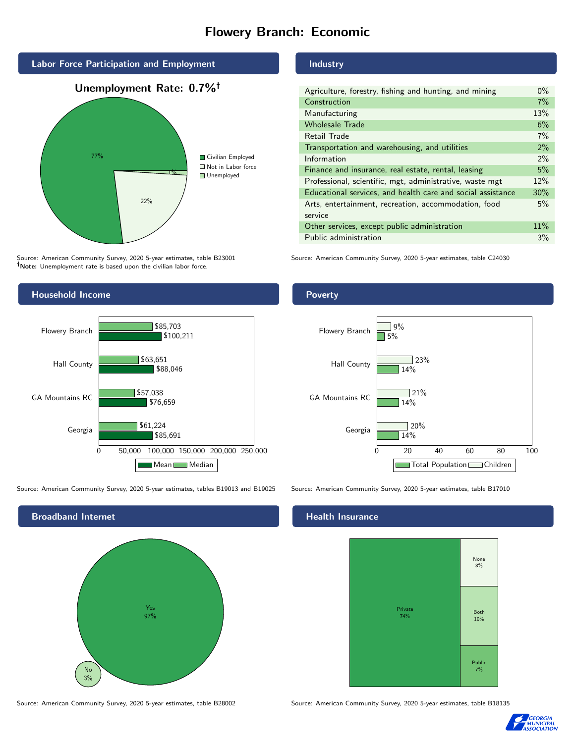# Flowery Branch: Economic



Source: American Community Survey, 2020 5-year estimates, table B23001 Note: Unemployment rate is based upon the civilian labor force.



Source: American Community Survey, 2020 5-year estimates, tables B19013 and B19025 Source: American Community Survey, 2020 5-year estimates, table B17010



Source: American Community Survey, 2020 5-year estimates, table B28002 Source: American Community Survey, 2020 5-year estimates, table B18135

## Industry

| Agriculture, forestry, fishing and hunting, and mining      | $0\%$ |
|-------------------------------------------------------------|-------|
| Construction                                                | 7%    |
| Manufacturing                                               | 13%   |
| <b>Wholesale Trade</b>                                      | 6%    |
| Retail Trade                                                | 7%    |
| Transportation and warehousing, and utilities               | 2%    |
| Information                                                 | $2\%$ |
| Finance and insurance, real estate, rental, leasing         | 5%    |
| Professional, scientific, mgt, administrative, waste mgt    | 12%   |
| Educational services, and health care and social assistance | 30%   |
| Arts, entertainment, recreation, accommodation, food        | 5%    |
| service                                                     |       |
| Other services, except public administration                | 11%   |
| Public administration                                       | 3%    |

Source: American Community Survey, 2020 5-year estimates, table C24030

#### **Poverty**



#### Health Insurance